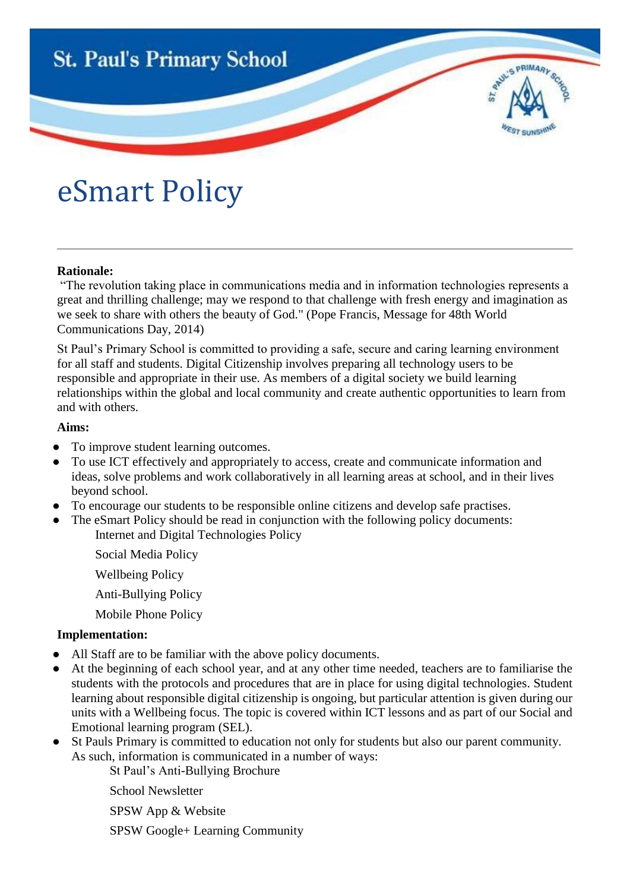

# eSmart Policy

### **Rationale:**

"The revolution taking place in communications media and in information technologies represents a great and thrilling challenge; may we respond to that challenge with fresh energy and imagination as we seek to share with others the beauty of God." (Pope Francis, Message for 48th World Communications Day, 2014)

St Paul's Primary School is committed to providing a safe, secure and caring learning environment for all staff and students. Digital Citizenship involves preparing all technology users to be responsible and appropriate in their use. As members of a digital society we build learning relationships within the global and local community and create authentic opportunities to learn from and with others.

#### **Aims:**

- To improve student learning outcomes.
- To use ICT effectively and appropriately to access, create and communicate information and ideas, solve problems and work collaboratively in all learning areas at school, and in their lives beyond school.
- To encourage our students to be responsible online citizens and develop safe practises.
- The eSmart Policy should be read in conjunction with the following policy documents: Internet and Digital Technologies Policy
	- Social Media Policy
	- Wellbeing Policy
	- Anti-Bullying Policy
	- Mobile Phone Policy

## **Implementation:**

- All Staff are to be familiar with the above policy documents.
- At the beginning of each school year, and at any other time needed, teachers are to familiarise the students with the protocols and procedures that are in place for using digital technologies. Student learning about responsible digital citizenship is ongoing, but particular attention is given during our units with a Wellbeing focus. The topic is covered within ICT lessons and as part of our Social and Emotional learning program (SEL).
- St Pauls Primary is committed to education not only for students but also our parent community. As such, information is communicated in a number of ways:
	- St Paul's Anti-Bullying Brochure

School Newsletter

SPSW App & Website

SPSW Google+ Learning Community